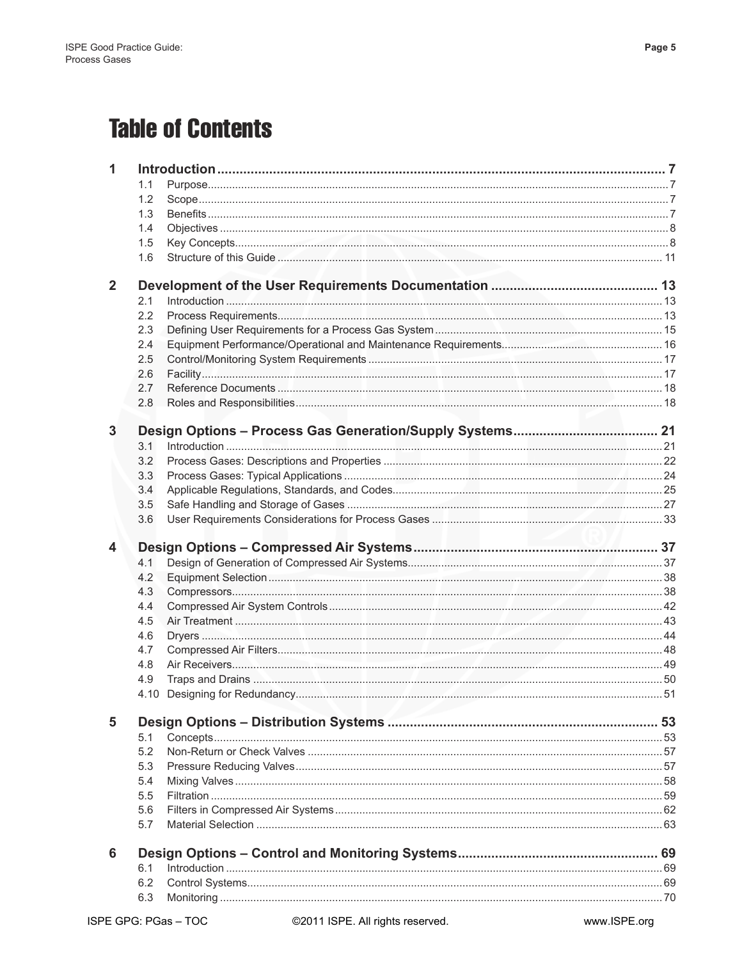## **Table of Contents**

| 1              |            |  |
|----------------|------------|--|
|                | 1.1        |  |
|                | 1.2        |  |
|                | 1.3        |  |
|                | 1.4        |  |
|                | 1.5        |  |
|                | 1.6        |  |
|                |            |  |
| $\overline{2}$ |            |  |
|                | 2.1        |  |
|                | 2.2        |  |
|                | 2.3        |  |
|                | 2.4        |  |
|                | 2.5        |  |
|                | 2.6        |  |
|                | 2.7        |  |
|                | 2.8        |  |
| 3              |            |  |
|                | 3.1        |  |
|                | 3.2        |  |
|                | 3.3        |  |
|                | 3.4        |  |
|                | 3.5        |  |
|                | 3.6        |  |
|                |            |  |
|                |            |  |
| 4              |            |  |
|                | 4.1        |  |
|                | 4.2        |  |
|                | 4.3        |  |
|                | 4.4        |  |
|                | 4.5        |  |
|                | 4.6        |  |
|                | 4.7        |  |
|                | 4.8        |  |
|                | 4.9        |  |
|                | 4.10       |  |
| 5              |            |  |
|                | 5.1        |  |
|                | 5.2        |  |
|                |            |  |
|                | 5.3        |  |
|                | 5.4        |  |
|                | 5.5        |  |
|                | 5.6<br>5.7 |  |
|                |            |  |
| 6              |            |  |
|                | 6.1        |  |
|                | 6.2<br>6.3 |  |